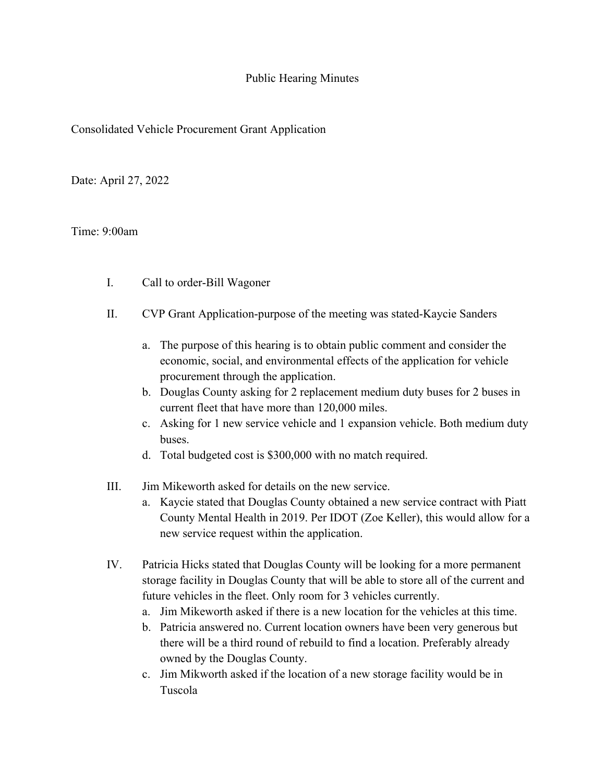## Public Hearing Minutes

## Consolidated Vehicle Procurement Grant Application

Date: April 27, 2022

## Time: 9:00am

- I. Call to order-Bill Wagoner
- II. CVP Grant Application-purpose of the meeting was stated-Kaycie Sanders
	- a. The purpose of this hearing is to obtain public comment and consider the economic, social, and environmental effects of the application for vehicle procurement through the application.
	- b. Douglas County asking for 2 replacement medium duty buses for 2 buses in current fleet that have more than 120,000 miles.
	- c. Asking for 1 new service vehicle and 1 expansion vehicle. Both medium duty buses.
	- d. Total budgeted cost is \$300,000 with no match required.
- III. Jim Mikeworth asked for details on the new service.
	- a. Kaycie stated that Douglas County obtained a new service contract with Piatt County Mental Health in 2019. Per IDOT (Zoe Keller), this would allow for a new service request within the application.
- IV. Patricia Hicks stated that Douglas County will be looking for a more permanent storage facility in Douglas County that will be able to store all of the current and future vehicles in the fleet. Only room for 3 vehicles currently.
	- a. Jim Mikeworth asked if there is a new location for the vehicles at this time.
	- b. Patricia answered no. Current location owners have been very generous but there will be a third round of rebuild to find a location. Preferably already owned by the Douglas County.
	- c. Jim Mikworth asked if the location of a new storage facility would be in Tuscola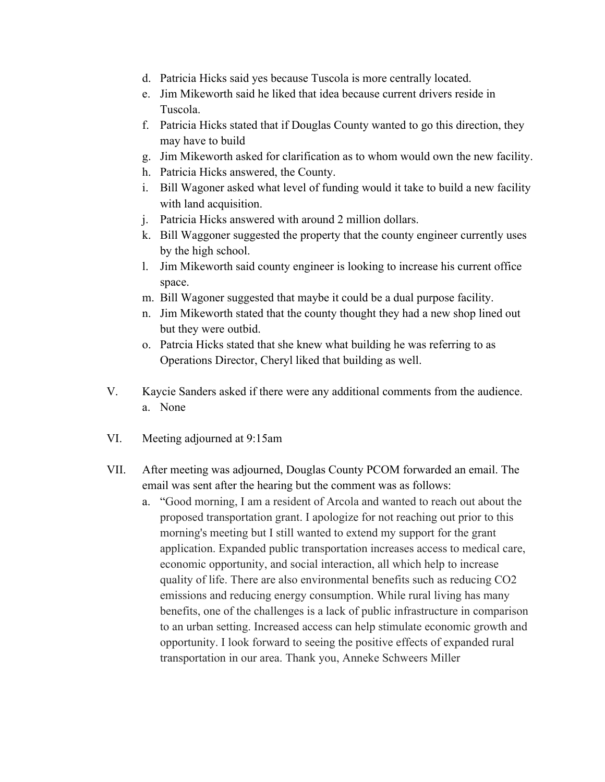- d. Patricia Hicks said yes because Tuscola is more centrally located.
- e. Jim Mikeworth said he liked that idea because current drivers reside in Tuscola.
- f. Patricia Hicks stated that if Douglas County wanted to go this direction, they may have to build
- g. Jim Mikeworth asked for clarification as to whom would own the new facility.
- h. Patricia Hicks answered, the County.
- i. Bill Wagoner asked what level of funding would it take to build a new facility with land acquisition.
- j. Patricia Hicks answered with around 2 million dollars.
- k. Bill Waggoner suggested the property that the county engineer currently uses by the high school.
- l. Jim Mikeworth said county engineer is looking to increase his current office space.
- m. Bill Wagoner suggested that maybe it could be a dual purpose facility.
- n. Jim Mikeworth stated that the county thought they had a new shop lined out but they were outbid.
- o. Patrcia Hicks stated that she knew what building he was referring to as Operations Director, Cheryl liked that building as well.
- V. Kaycie Sanders asked if there were any additional comments from the audience. a. None
- VI. Meeting adjourned at 9:15am
- VII. After meeting was adjourned, Douglas County PCOM forwarded an email. The email was sent after the hearing but the comment was as follows:
	- a. "Good morning, I am a resident of Arcola and wanted to reach out about the proposed transportation grant. I apologize for not reaching out prior to this morning's meeting but I still wanted to extend my support for the grant application. Expanded public transportation increases access to medical care, economic opportunity, and social interaction, all which help to increase quality of life. There are also environmental benefits such as reducing CO2 emissions and reducing energy consumption. While rural living has many benefits, one of the challenges is a lack of public infrastructure in comparison to an urban setting. Increased access can help stimulate economic growth and opportunity. I look forward to seeing the positive effects of expanded rural transportation in our area. Thank you, Anneke Schweers Miller